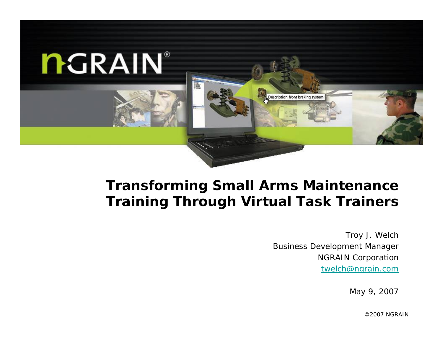

#### **Transforming Small Arms Maintenance Training Through Virtual Task Trainers**

Troy J. Welch Business Development Manager NGRAIN Corporation twelch@ngrain.com

May 9, 2007

©2007 NGRAIN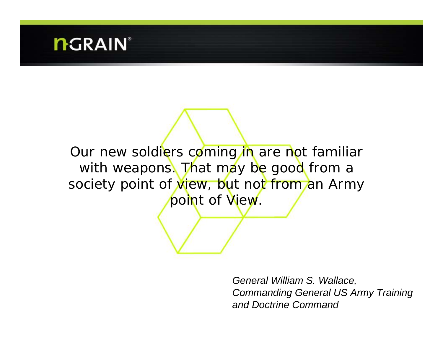*Our new soldiers coming in are not familiar with weapons. That may be good from a society point of view, but not from an Army point of View.*

> *General William S. Wallace, Commanding General US Army Training and Doctrine Command*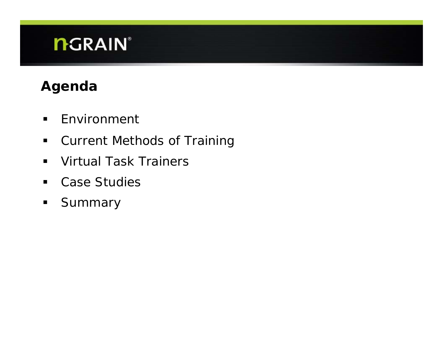### **Agenda**

- $\blacksquare$ Environment
- $\blacksquare$ Current Methods of Training
- $\blacksquare$ Virtual Task Trainers
- $\blacksquare$ Case Studies
- $\blacksquare$ Summary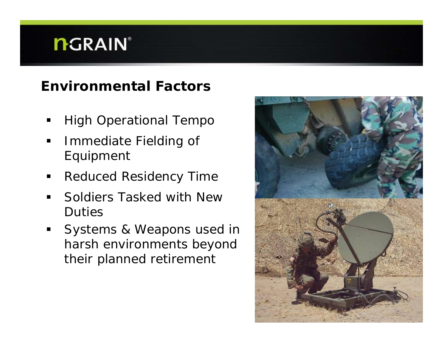### **Environmental Factors**

- High Operational Tempo
- $\blacksquare$  Immediate Fielding of Equipment
- П Reduced Residency Time
- $\blacksquare$  Soldiers Tasked with New Duties
- $\blacksquare$  Systems & Weapons used in harsh environments beyond their planned retirement

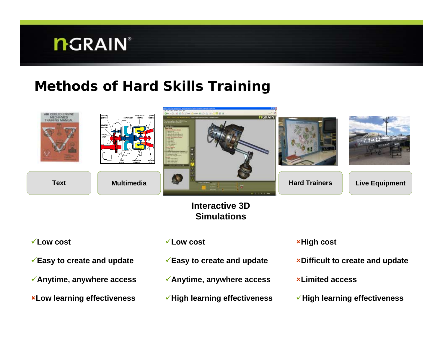**Anytime, anywhere access**

**Low learning effectiveness**

#### **Methods of Hard Skills Training**



- **Anytime, anywhere access**
- **High learning effectiveness**
- **Limited access**
- **High learning effectiveness**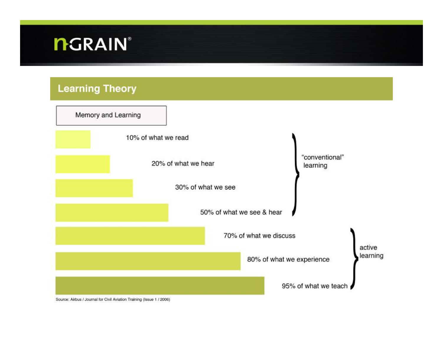#### **Learning Theory**

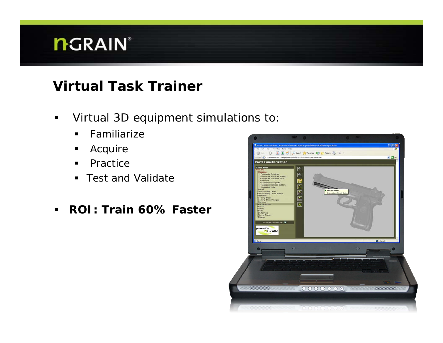#### **Virtual Task Trainer**

- $\blacksquare$  Virtual 3D equipment simulations to:
	- $\blacksquare$ *Familiarize*
	- $\blacksquare$ *Acquire*
	- $\blacksquare$ *Practice*
	- *Test and Validate*
- $\blacksquare$ **ROI: Train 60% Faster**

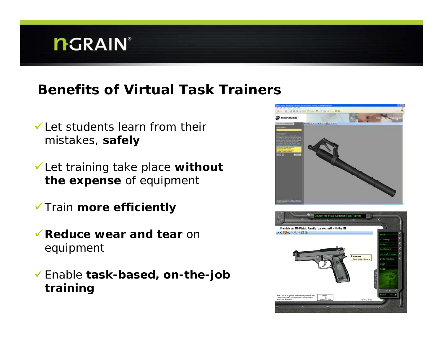#### **Benefits of Virtual Task Trainers**

- $\checkmark$  Let students learn from their mistakes, **safely**
- 9 Let training take place **without the expense** of equipment
- 9 Train **more efficiently**
- **Example 2 Reduce wear and tear on** equipment
- 9 Enable **task-based, on-the-job training**



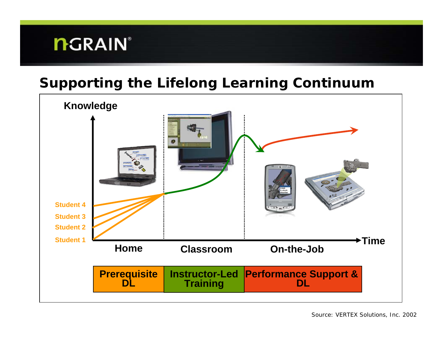#### **Supporting the Lifelong Learning Continuum**

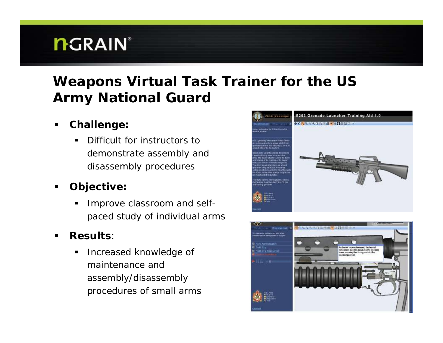#### **Weapons Virtual Task Trainer for the US Army National Guard**

- $\blacksquare$  **Challenge:** 
	- Ш Difficult for instructors to demonstrate assembly and disassembly procedures
- $\blacksquare$  **Objective:**
	- Improve classroom and selfpaced study of individual arms
- $\blacksquare$  **Results**:
	- $\blacksquare$  Increased knowledge of maintenance and assembly/disassembly procedures of small arms



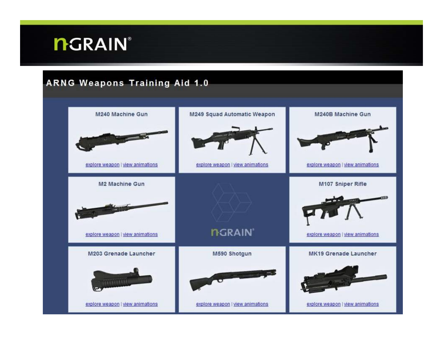#### **ARNG Weapons Training Aid 1.0**

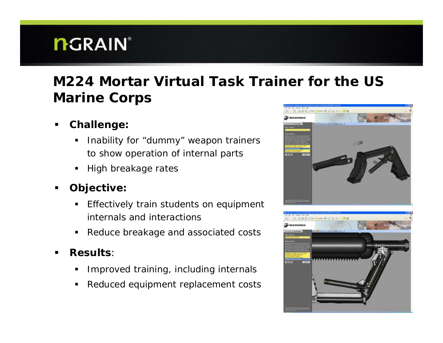### **M224 Mortar Virtual Task Trainer for the US Marine Corps**

- $\blacksquare$  **Challenge:** 
	- Ш Inability for "dummy" weapon trainers to show operation of internal parts
	- $\blacksquare$ High breakage rates
- $\blacksquare$  **Objective:**
	- $\blacksquare$  Effectively train students on equipment internals and interactions
	- Reduce breakage and associated costs
- $\blacksquare$  **Results**:
	- П Improved training, including internals
	- П Reduced equipment replacement costs



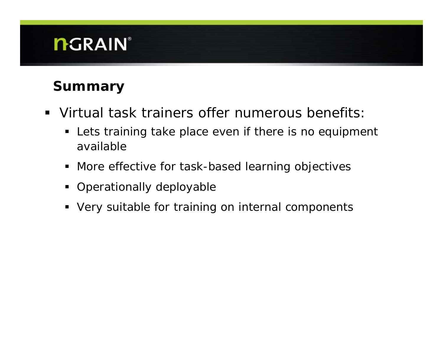### **Summary**

- Virtual task trainers offer numerous benefits:
	- **EXT** Lets training take place even if there is no equipment available
	- More effective for task-based learning objectives
	- **•** Operationally deployable
	- Very suitable for training on internal components